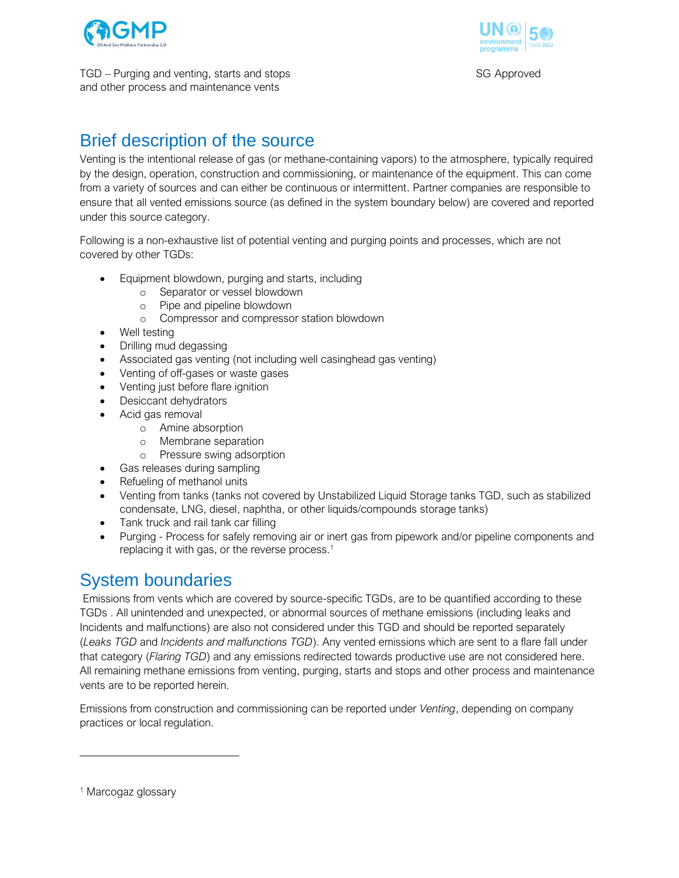



TGD – Purging and venting, starts and stops SG Approved and other process and maintenance vents

# Brief description of the source

Venting is the intentional release of gas (or methane-containing vapors) to the atmosphere, typically required by the design, operation, construction and commissioning, or maintenance of the equipment. This can come from a variety of sources and can either be continuous or intermittent. Partner companies are responsible to ensure that all vented emissions source (as defined in the system boundary below) are covered and reported under this source category.

Following is a non-exhaustive list of potential venting and purging points and processes, which are not covered by other TGDs:

- Equipment blowdown, purging and starts, including
	- o Separator or vessel blowdown
	- o Pipe and pipeline blowdown
	- o Compressor and compressor station blowdown
- Well testing
- Drilling mud degassing
- Associated gas venting (not including well casinghead gas venting)
- Venting of off-gases or waste gases
- Venting just before flare ignition
- Desiccant dehydrators
- Acid gas removal
	- o Amine absorption
	- o Membrane separation
	- o Pressure swing adsorption
- Gas releases during sampling
- Refueling of methanol units
- Venting from tanks (tanks not covered by Unstabilized Liquid Storage tanks TGD, such as stabilized condensate, LNG, diesel, naphtha, or other liquids/compounds storage tanks)
- Tank truck and rail tank car filling
- Purging Process for safely removing air or inert gas from pipework and/or pipeline components and replacing it with gas, or the reverse process.<sup>1</sup>

# System boundaries

Emissions from vents which are covered by source-specific TGDs, are to be quantified according to these TGDs . All unintended and unexpected, or abnormal sources of methane emissions (including leaks and Incidents and malfunctions) are also not considered under this TGD and should be reported separately (*Leaks TGD* and *Incidents and malfunctions TGD*). Any vented emissions which are sent to a flare fall under that category (*Flaring TGD*) and any emissions redirected towards productive use are not considered here. All remaining methane emissions from venting, purging, starts and stops and other process and maintenance vents are to be reported herein.

Emissions from construction and commissioning can be reported under *Venting*, depending on company practices or local regulation.

<sup>&</sup>lt;sup>1</sup> Marcogaz glossary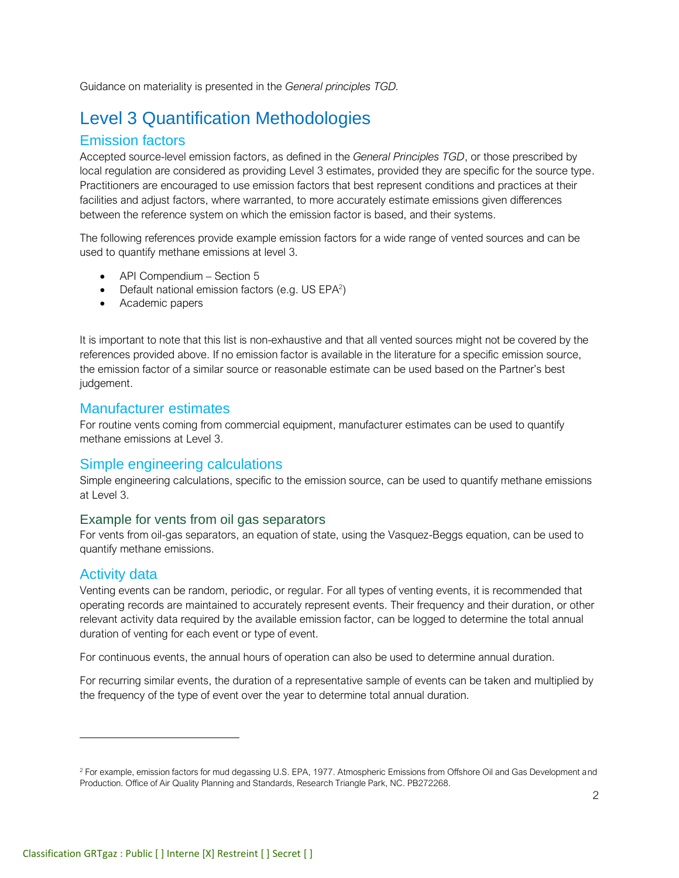Guidance on materiality is presented in the *General principles TGD.*

# Level 3 Quantification Methodologies

## Emission factors

Accepted source-level emission factors, as defined in the *General Principles TGD*, or those prescribed by local regulation are considered as providing Level 3 estimates, provided they are specific for the source type. Practitioners are encouraged to use emission factors that best represent conditions and practices at their facilities and adjust factors, where warranted, to more accurately estimate emissions given differences between the reference system on which the emission factor is based, and their systems.

The following references provide example emission factors for a wide range of vented sources and can be used to quantify methane emissions at level 3.

- API Compendium Section 5
- Default national emission factors (e.g. US EPA<sup>2</sup>)
- Academic papers

It is important to note that this list is non-exhaustive and that all vented sources might not be covered by the references provided above. If no emission factor is available in the literature for a specific emission source, the emission factor of a similar source or reasonable estimate can be used based on the Partner's best judgement.

#### Manufacturer estimates

For routine vents coming from commercial equipment, manufacturer estimates can be used to quantify methane emissions at Level 3.

### Simple engineering calculations

Simple engineering calculations, specific to the emission source, can be used to quantify methane emissions at Level 3.

#### Example for vents from oil gas separators

For vents from oil-gas separators, an equation of state, using the Vasquez-Beggs equation, can be used to quantify methane emissions.

### Activity data

Venting events can be random, periodic, or regular. For all types of venting events, it is recommended that operating records are maintained to accurately represent events. Their frequency and their duration, or other relevant activity data required by the available emission factor, can be logged to determine the total annual duration of venting for each event or type of event.

For continuous events, the annual hours of operation can also be used to determine annual duration.

For recurring similar events, the duration of a representative sample of events can be taken and multiplied by the frequency of the type of event over the year to determine total annual duration.

<sup>&</sup>lt;sup>2</sup> For example, emission factors for mud degassing U.S. EPA, 1977. Atmospheric Emissions from Offshore Oil and Gas Development and Production. Office of Air Quality Planning and Standards, Research Triangle Park, NC. PB272268.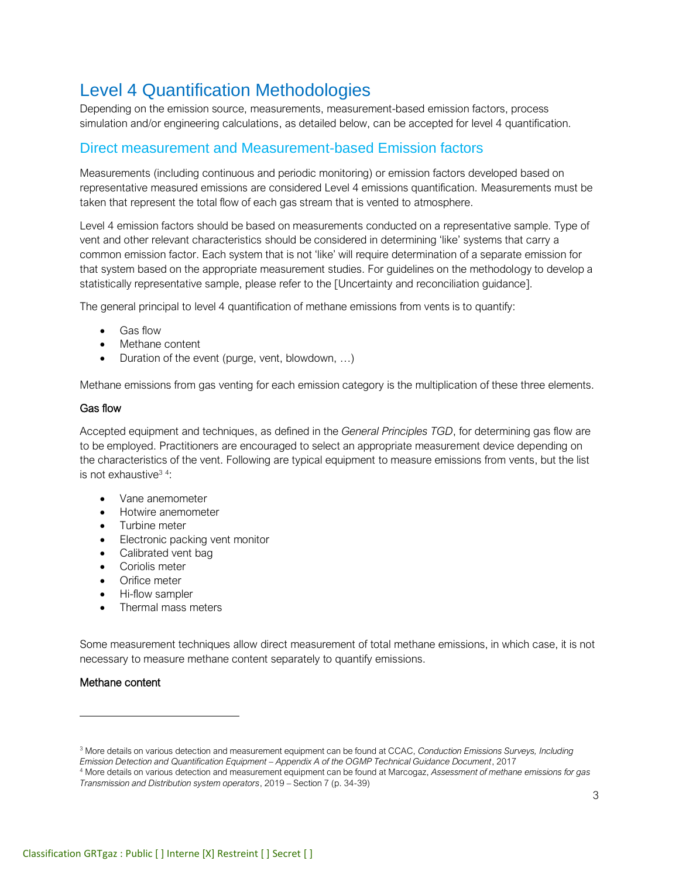# Level 4 Quantification Methodologies

Depending on the emission source, measurements, measurement-based emission factors, process simulation and/or engineering calculations, as detailed below, can be accepted for level 4 quantification.

## Direct measurement and Measurement-based Emission factors

Measurements (including continuous and periodic monitoring) or emission factors developed based on representative measured emissions are considered Level 4 emissions quantification. Measurements must be taken that represent the total flow of each gas stream that is vented to atmosphere.

Level 4 emission factors should be based on measurements conducted on a representative sample. Type of vent and other relevant characteristics should be considered in determining 'like' systems that carry a common emission factor. Each system that is not 'like' will require determination of a separate emission for that system based on the appropriate measurement studies. For guidelines on the methodology to develop a statistically representative sample, please refer to the [Uncertainty and reconciliation guidance].

The general principal to level 4 quantification of methane emissions from vents is to quantify:

- Gas flow
- Methane content
- Duration of the event (purge, vent, blowdown, ...)

Methane emissions from gas venting for each emission category is the multiplication of these three elements.

#### Gas flow

Accepted equipment and techniques, as defined in the *General Principles TGD*, for determining gas flow are to be employed. Practitioners are encouraged to select an appropriate measurement device depending on the characteristics of the vent. Following are typical equipment to measure emissions from vents, but the list is not exhaustive<sup>34</sup>:

- Vane anemometer
- Hotwire anemometer
- Turbine meter
- Electronic packing vent monitor
- Calibrated vent bag
- Coriolis meter
- Orifice meter
- Hi-flow sampler
- Thermal mass meters

Some measurement techniques allow direct measurement of total methane emissions, in which case, it is not necessary to measure methane content separately to quantify emissions.

#### Methane content

<sup>3</sup> More details on various detection and measurement equipment can be found at CCAC, *Conduction Emissions Surveys, Including Emission Detection and Quantification Equipment – Appendix A of the OGMP Technical Guidance Document*, 2017

<sup>4</sup> More details on various detection and measurement equipment can be found at Marcogaz, *Assessment of methane emissions for gas Transmission and Distribution system operators*, 2019 – Section 7 (p. 34-39)